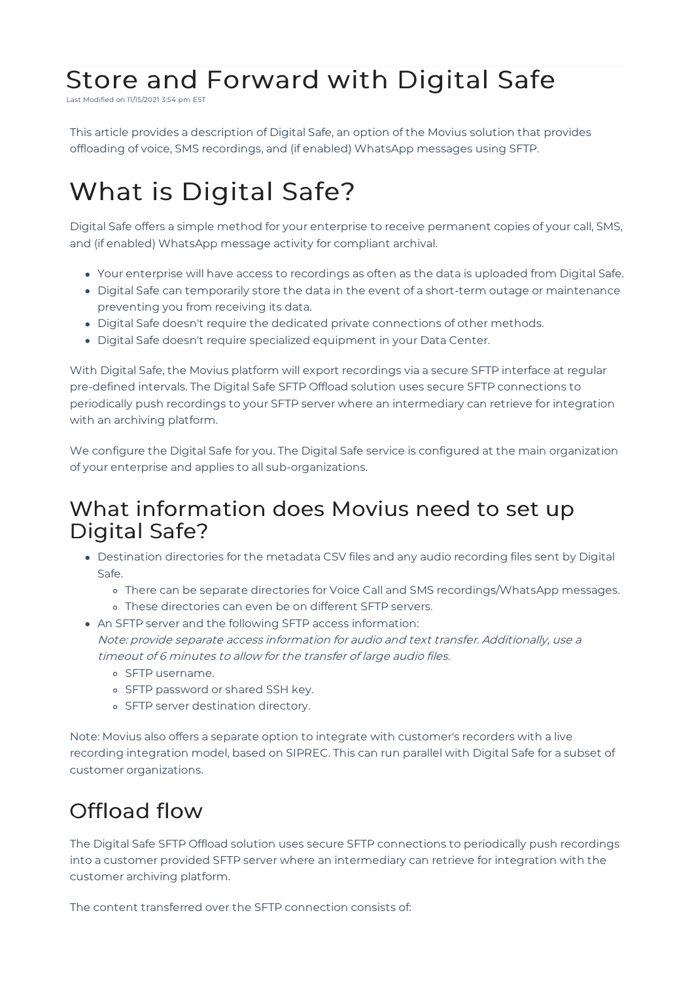# Store and Forward with Digital Safe

Last Modified on 11/15/2021 3:54 pm EST

This article provides a description of Digital Safe, an option of the Movius solution that provides offloading of voice, SMS recordings, and (if enabled) WhatsApp messages using SFTP.

# What is Digital Safe?

Digital Safe offers a simple method for your enterprise to receive permanent copies of your call, SMS, and (if enabled) WhatsApp message activity for compliant archival.

- Your enterprise will have access to recordings as often as the data is uploaded from Digital Safe.
- Digital Safe can temporarily store the data in the event of a short-term outage or maintenance preventing you from receiving its data.
- Digital Safe doesn't require the dedicated private connections of other methods.
- Digital Safe doesn't require specialized equipment in your Data Center.

With Digital Safe, the Movius platform will export recordings via a secure SFTP interface at regular pre-defined intervals. The Digital Safe SFTP Offload solution uses secure SFTP connections to periodically push recordings to your SFTP server where an intermediary can retrieve for integration with an archiving platform.

We configure the Digital Safe for you. The Digital Safe service is configured at the main organization of your enterprise and applies to all sub-organizations.

## What information does Movius need to set up Digital Safe?

- Destination directories for the metadata CSV files and any audio recording files sent by Digital Safe.
	- There can be separate directories for Voice Call and SMS recordings/WhatsApp messages.
	- These directories can even be on different SFTP servers.
- An SFTP server and the following SFTP access information: Note: provide separate access information for audio and text transfer. Additionally, use <sup>a</sup> timeout of 6 minutes to allow for the transfer of large audio files.
	- o SFTP username.
	- o SFTP password or shared SSH key.
	- o SFTP server destination directory.

Note: Movius also offers a separate option to integrate with customer's recorders with a live recording integration model, based on SIPREC. This can run parallel with Digital Safe for a subset of customer organizations.

## Offload flow

The Digital Safe SFTP Offload solution uses secure SFTP connections to periodically push recordings into a customer provided SFTP server where an intermediary can retrieve for integration with the customer archiving platform.

The content transferred over the SFTP connection consists of: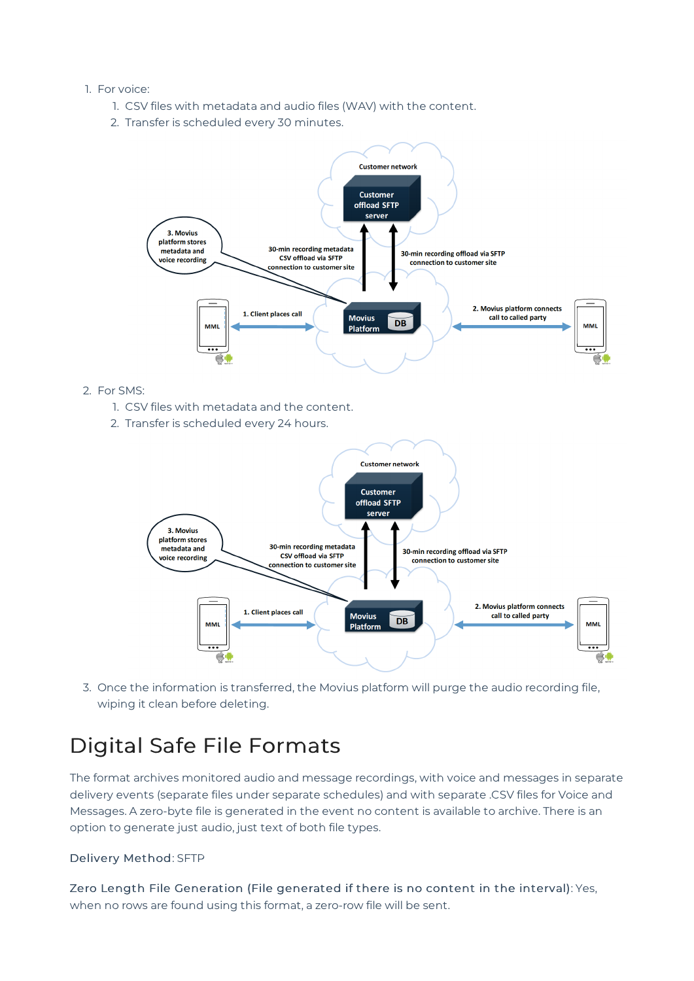#### 1. For voice:

- 1. CSV files with metadata and audio files (WAV) with the content.
- 2. Transfer is scheduled every 30 minutes.



- 2. For SMS:
	- 1. CSV files with metadata and the content.
	- 2. Transfer is scheduled every 24 hours.



3. Once the information is transferred, the Movius platform will purge the audio recording file, wiping it clean before deleting.

## Digital Safe File Formats

The format archives monitored audio and message recordings, with voice and messages in separate delivery events (separate files under separate schedules) and with separate .CSV files for Voice and Messages. A zero-byte file is generated in the event no content is available to archive. There is an option to generate just audio, just text of both file types.

#### Delivery Method: SFTP

Zero Length File Generation (File generated if there is no content in the interval): Yes, when no rows are found using this format, a zero-row file will be sent.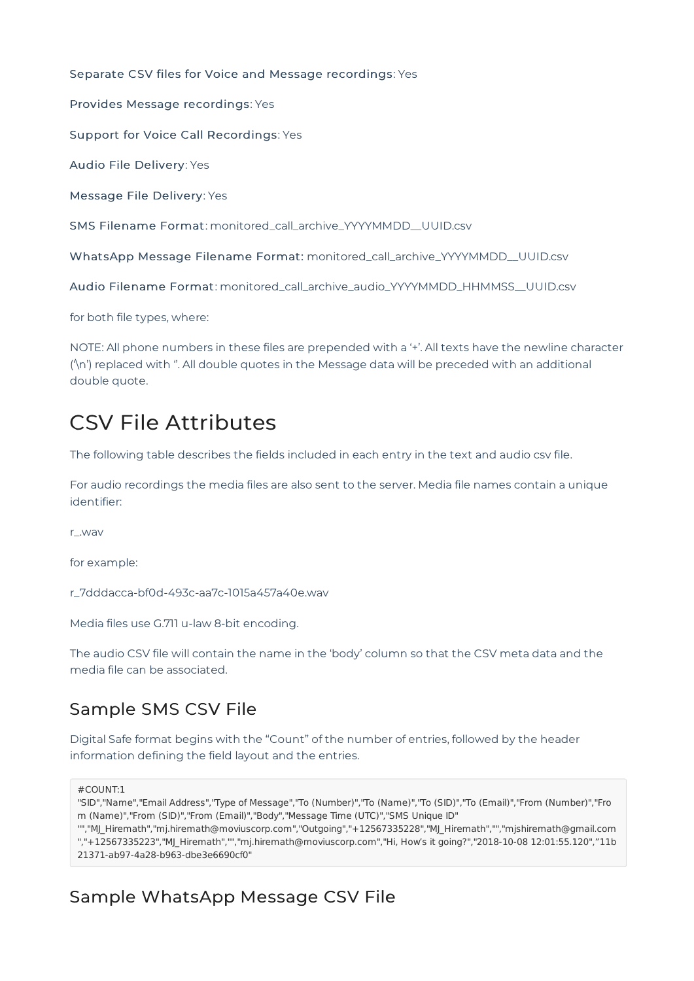Separate CSV files for Voice and Message recordings: Yes

Provides Message recordings: Yes

Support for Voice Call Recordings: Yes

Audio File Delivery: Yes

Message File Delivery: Yes

SMS Filename Format: monitored\_call\_archive\_YYYYMMDD\_\_UUID.csv

WhatsApp Message Filename Format: monitored\_call\_archive\_YYYYMMDD\_\_UUID.csv

Audio Filename Format: monitored\_call\_archive\_audio\_YYYYMMDD\_HHMMSS\_\_UUID.csv

for both file types, where:

NOTE: All phone numbers in these files are prepended with a '+'. All texts have the newline character ('\n') replaced with ''. All double quotes in the Message data will be preceded with an additional double quote.

## CSV File Attributes

The following table describes the fields included in each entry in the text and audio csv file.

For audio recordings the media files are also sent to the server. Media file names contain a unique identifier:

r\_.wav

for example:

r\_7dddacca-bf0d-493c-aa7c-1015a457a40e.wav

Media files use G.711 u-law 8-bit encoding.

The audio CSV file will contain the name in the 'body' column so that the CSV meta data and the media file can be associated.

### Sample SMS CSV File

Digital Safe format begins with the "Count" of the number of entries, followed by the header information defining the field layout and the entries.

 $#$ COUNT:1

"SID","Name","Email Address","Type of Message","To (Number)","To (Name)","To (SID)","To (Email)","From (Number)","Fro m (Name)","From (SID)","From (Email)","Body","Message Time (UTC)","SMS Unique ID"

"","MJ\_Hiremath","mj.hiremath@moviuscorp.com","Outgoing","+12567335228","MJ\_Hiremath","","mjshiremath@gmail.com ","+12567335223","MJ\_Hiremath","","mj.hiremath@moviuscorp.com","Hi, How's it going?","2018-10-08 12:01:55.120","11b 21371-ab97-4a28-b963-dbe3e6690cf0"

### Sample WhatsApp Message CSV File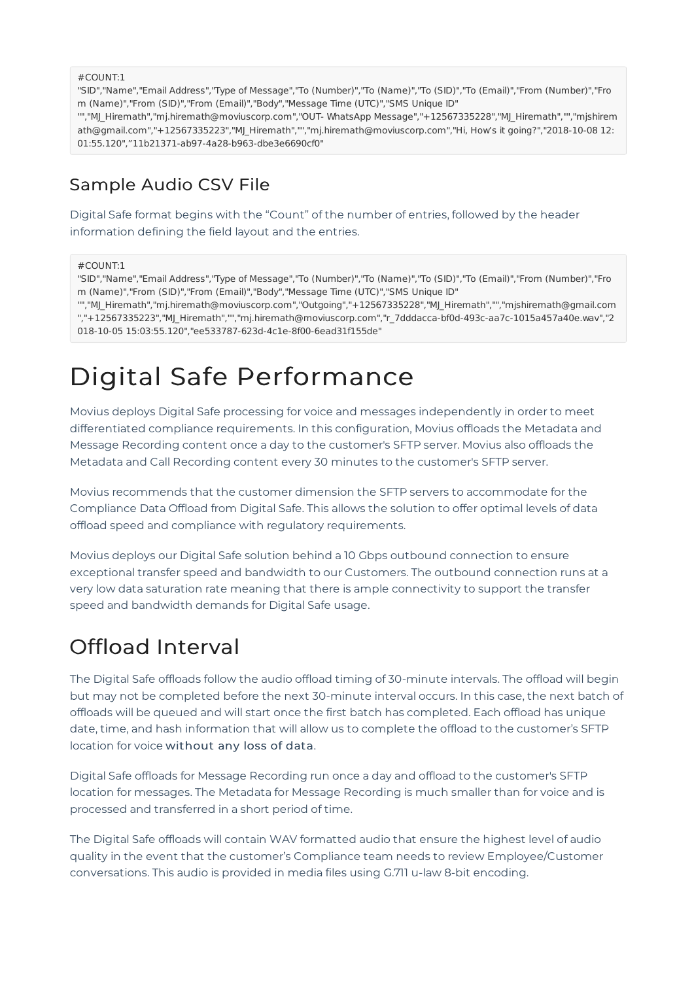#COUNT:1

"SID","Name","Email Address","Type of Message","To (Number)","To (Name)","To (SID)","To (Email)","From (Number)","Fro m (Name)","From (SID)","From (Email)","Body","Message Time (UTC)","SMS Unique ID"

"","MJ\_Hiremath","mj.hiremath@moviuscorp.com","OUT- WhatsApp Message","+12567335228","MJ\_Hiremath","","mjshirem ath@gmail.com","+12567335223","MJ\_Hiremath","","mj.hiremath@moviuscorp.com","Hi, How's it going?","2018-10-08 12: 01:55.120","11b21371-ab97-4a28-b963-dbe3e6690cf0"

### Sample Audio CSV File

Digital Safe format begins with the "Count" of the number of entries, followed by the header information defining the field layout and the entries.

#### #COUNT:1

"SID","Name","Email Address","Type of Message","To (Number)","To (Name)","To (SID)","To (Email)","From (Number)","Fro m (Name)","From (SID)","From (Email)","Body","Message Time (UTC)","SMS Unique ID"

"","MJ\_Hiremath","mj.hiremath@moviuscorp.com","Outgoing","+12567335228","MJ\_Hiremath","","mjshiremath@gmail.com ","+12567335223","MJ\_Hiremath","","mj.hiremath@moviuscorp.com","r\_7dddacca-bf0d-493c-aa7c-1015a457a40e.wav","2 018-10-05 15:03:55.120","ee533787-623d-4c1e-8f00-6ead31f155de"

# Digital Safe Performance

Movius deploys Digital Safe processing for voice and messages independently in order to meet differentiated compliance requirements. In this configuration, Movius offloads the Metadata and Message Recording content once a day to the customer's SFTP server. Movius also offloads the Metadata and Call Recording content every 30 minutes to the customer's SFTP server.

Movius recommends that the customer dimension the SFTP servers to accommodate for the Compliance Data Offload from Digital Safe. This allows the solution to offer optimal levels of data offload speed and compliance with regulatory requirements.

Movius deploys our Digital Safe solution behind a 10 Gbps outbound connection to ensure exceptional transfer speed and bandwidth to our Customers. The outbound connection runs at a very low data saturation rate meaning that there is ample connectivity to support the transfer speed and bandwidth demands for Digital Safe usage.

## Offload Interval

The Digital Safe offloads follow the audio offload timing of 30-minute intervals. The offload will begin but may not be completed before the next 30-minute interval occurs. In this case, the next batch of offloads will be queued and will start once the first batch has completed. Each offload has unique date, time, and hash information that will allow us to complete the offload to the customer's SFTP location for voice without any loss of data.

Digital Safe offloads for Message Recording run once a day and offload to the customer's SFTP location for messages. The Metadata for Message Recording is much smaller than for voice and is processed and transferred in a short period of time.

The Digital Safe offloads will contain WAV formatted audio that ensure the highest level of audio quality in the event that the customer's Compliance team needs to review Employee/Customer conversations. This audio is provided in media files using G.711 u-law 8-bit encoding.